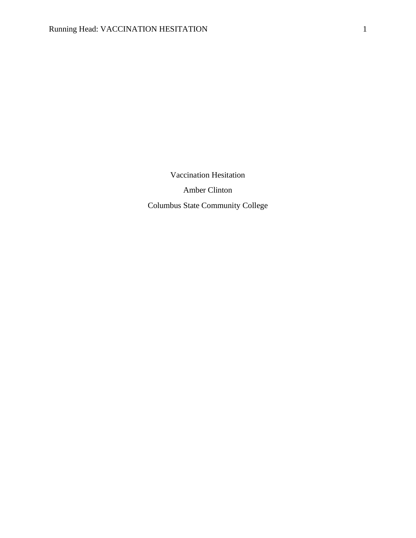Vaccination Hesitation Amber Clinton Columbus State Community College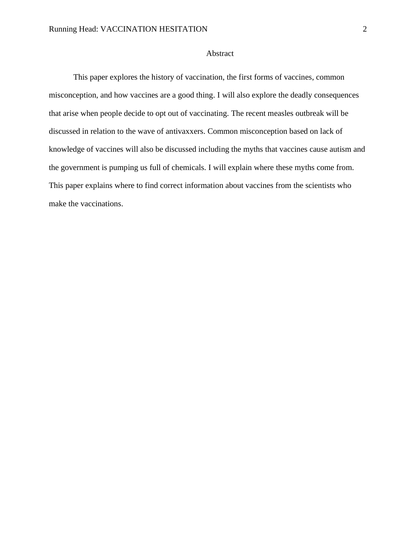## Abstract

This paper explores the history of vaccination, the first forms of vaccines, common misconception, and how vaccines are a good thing. I will also explore the deadly consequences that arise when people decide to opt out of vaccinating. The recent measles outbreak will be discussed in relation to the wave of antivaxxers. Common misconception based on lack of knowledge of vaccines will also be discussed including the myths that vaccines cause autism and the government is pumping us full of chemicals. I will explain where these myths come from. This paper explains where to find correct information about vaccines from the scientists who make the vaccinations.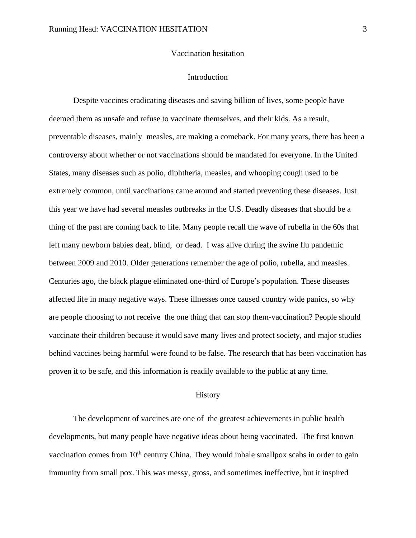### Vaccination hesitation

#### Introduction

Despite vaccines eradicating diseases and saving billion of lives, some people have deemed them as unsafe and refuse to vaccinate themselves, and their kids. As a result, preventable diseases, mainly measles, are making a comeback. For many years, there has been a controversy about whether or not vaccinations should be mandated for everyone. In the United States, many diseases such as polio, diphtheria, measles, and whooping cough used to be extremely common, until vaccinations came around and started preventing these diseases. Just this year we have had several measles outbreaks in the U.S. Deadly diseases that should be a thing of the past are coming back to life. Many people recall the wave of rubella in the 60s that left many newborn babies deaf, blind, or dead. I was alive during the swine flu pandemic between 2009 and 2010. Older generations remember the age of polio, rubella, and measles. Centuries ago, the black plague eliminated one-third of Europe's population. These diseases affected life in many negative ways. These illnesses once caused country wide panics, so why are people choosing to not receive the one thing that can stop them-vaccination? People should vaccinate their children because it would save many lives and protect society, and major studies behind vaccines being harmful were found to be false. The research that has been vaccination has proven it to be safe, and this information is readily available to the public at any time.

### **History**

The development of vaccines are one of the greatest achievements in public health developments, but many people have negative ideas about being vaccinated. The first known vaccination comes from 10<sup>th</sup> century China. They would inhale smallpox scabs in order to gain immunity from small pox. This was messy, gross, and sometimes ineffective, but it inspired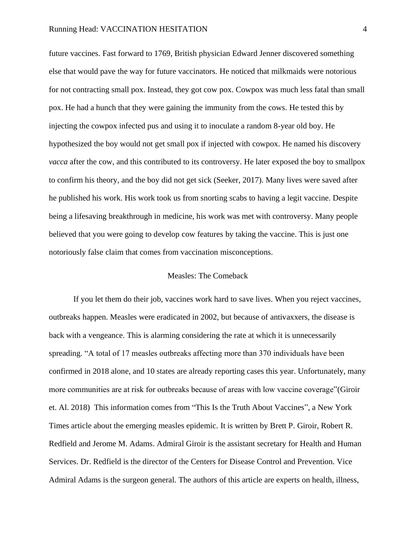future vaccines. Fast forward to 1769, British physician Edward Jenner discovered something else that would pave the way for future vaccinators*.* He noticed that milkmaids were notorious for not contracting small pox. Instead, they got cow pox. Cowpox was much less fatal than small pox. He had a hunch that they were gaining the immunity from the cows. He tested this by injecting the cowpox infected pus and using it to inoculate a random 8-year old boy. He hypothesized the boy would not get small pox if injected with cowpox. He named his discovery *vacca* after the cow, and this contributed to its controversy. He later exposed the boy to smallpox to confirm his theory, and the boy did not get sick (Seeker, 2017). Many lives were saved after he published his work. His work took us from snorting scabs to having a legit vaccine. Despite being a lifesaving breakthrough in medicine, his work was met with controversy. Many people believed that you were going to develop cow features by taking the vaccine. This is just one notoriously false claim that comes from vaccination misconceptions.

## Measles: The Comeback

If you let them do their job, vaccines work hard to save lives. When you reject vaccines, outbreaks happen. Measles were eradicated in 2002, but because of antivaxxers, the disease is back with a vengeance. This is alarming considering the rate at which it is unnecessarily spreading. "A total of 17 measles outbreaks affecting more than 370 individuals have been confirmed in 2018 alone, and 10 states are already reporting cases this year. Unfortunately, many more communities are at risk for outbreaks because of areas with low vaccine coverage"(Giroir et. Al. 2018) This information comes from "This Is the Truth About Vaccines", a New York Times article about the emerging measles epidemic. It is written by Brett P. Giroir, Robert R. Redfield and Jerome M. Adams. Admiral Giroir is the assistant secretary for Health and Human Services. Dr. Redfield is the director of the Centers for Disease Control and Prevention. Vice Admiral Adams is the surgeon general. The authors of this article are experts on health, illness,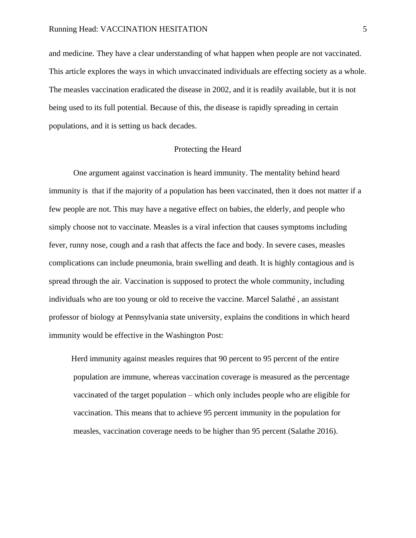and medicine. They have a clear understanding of what happen when people are not vaccinated. This article explores the ways in which unvaccinated individuals are effecting society as a whole. The measles vaccination eradicated the disease in 2002, and it is readily available, but it is not being used to its full potential. Because of this, the disease is rapidly spreading in certain populations, and it is setting us back decades.

## Protecting the Heard

One argument against vaccination is heard immunity. The mentality behind heard immunity is that if the majority of a population has been vaccinated, then it does not matter if a few people are not. This may have a negative effect on babies, the elderly, and people who simply choose not to vaccinate. Measles is a viral infection that causes symptoms including fever, runny nose, cough and a rash that affects the face and body. In severe cases, measles complications can include pneumonia, brain swelling and death. It is highly contagious and is spread through the air. Vaccination is supposed to protect the whole community, including individuals who are too young or old to receive the vaccine. Marcel Salathé , an assistant professor of biology at Pennsylvania state university, explains the conditions in which heard immunity would be effective in the Washington Post:

 Herd immunity against measles requires that 90 percent to 95 percent of the entire population are immune, whereas vaccination coverage is measured as the percentage vaccinated of the target population – which only includes people who are eligible for vaccination. This means that to achieve 95 percent immunity in the population for measles, vaccination coverage needs to be higher than 95 percent (Salathe 2016).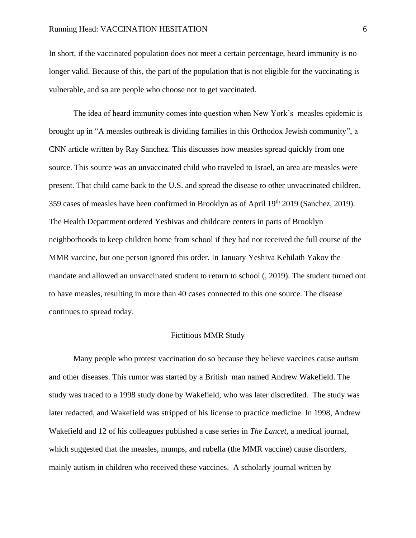In short, if the vaccinated population does not meet a certain percentage, heard immunity is no longer valid. Because of this, the part of the population that is not eligible for the vaccinating is vulnerable, and so are people who choose not to get vaccinated.

The idea of heard immunity comes into question when New York's measles epidemic is brought up in "A measles outbreak is dividing families in this Orthodox Jewish community", a CNN article written by Ray Sanchez. This discusses how measles spread quickly from one source. This source was an unvaccinated child who traveled to Israel, an area are measles were present. That child came back to the U.S. and spread the disease to other unvaccinated children. 359 cases of measles have been confirmed in Brooklyn as of April 19th 2019 (Sanchez, 2019). The Health Department ordered Yeshivas and childcare centers in parts of Brooklyn neighborhoods to keep children home from school if they had not received the full course of the MMR vaccine, but one person ignored this order. In January Yeshiva Kehilath Yakov the mandate and allowed an unvaccinated student to return to school (, 2019). The student turned out to have measles, resulting in more than 40 cases connected to this one source. The disease continues to spread today.

## Fictitious MMR Study

Many people who protest vaccination do so because they believe vaccines cause autism and other diseases. This rumor was started by a British man named Andrew Wakefield. The study was traced to a 1998 study done by Wakefield, who was later discredited. The study was later redacted, and Wakefield was stripped of his license to practice medicine. In 1998, Andrew Wakefield and 12 of his colleagues published a case series in *The Lancet*, a medical journal, which suggested that the measles, mumps, and rubella (the MMR vaccine) cause disorders, mainly autism in children who received these vaccines. A scholarly journal written by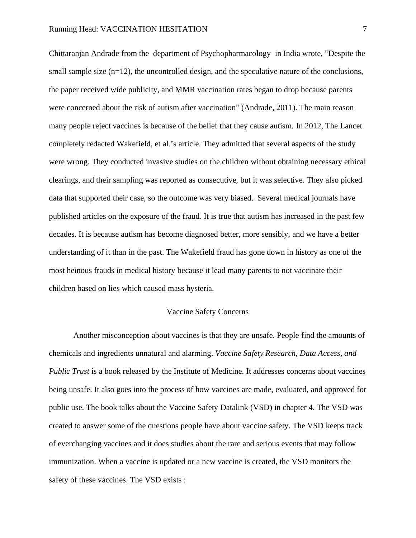Chittaranjan Andrade from the department of Psychopharmacology in India wrote, "Despite the small sample size  $(n=12)$ , the uncontrolled design, and the speculative nature of the conclusions, the paper received wide publicity, and MMR vaccination rates began to drop because parents were concerned about the risk of autism after vaccination" (Andrade, 2011). The main reason many people reject vaccines is because of the belief that they cause autism. In 2012, The Lancet completely redacted Wakefield, et al.'s article. They admitted that several aspects of the study were wrong. They conducted invasive studies on the children without obtaining necessary ethical clearings, and their sampling was reported as consecutive, but it was selective. They also picked data that supported their case, so the outcome was very biased. Several medical journals have published articles on the exposure of the fraud. It is true that autism has increased in the past few decades. It is because autism has become diagnosed better, more sensibly, and we have a better understanding of it than in the past. The Wakefield fraud has gone down in history as one of the most heinous frauds in medical history because it lead many parents to not vaccinate their children based on lies which caused mass hysteria.

### Vaccine Safety Concerns

Another misconception about vaccines is that they are unsafe. People find the amounts of chemicals and ingredients unnatural and alarming. *Vaccine Safety Research, Data Access, and Public Trust* is a book released by the Institute of Medicine. It addresses concerns about vaccines being unsafe. It also goes into the process of how vaccines are made, evaluated, and approved for public use. The book talks about the Vaccine Safety Datalink (VSD) in chapter 4. The VSD was created to answer some of the questions people have about vaccine safety. The VSD keeps track of everchanging vaccines and it does studies about the rare and serious events that may follow immunization. When a vaccine is updated or a new vaccine is created, the VSD monitors the safety of these vaccines. The VSD exists :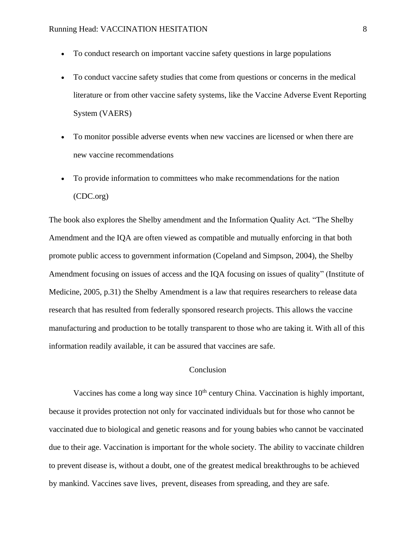- To conduct research on important vaccine safety questions in large populations
- To conduct vaccine safety studies that come from questions or concerns in the medical literature or from other vaccine safety systems, like the Vaccine Adverse Event Reporting System (VAERS)
- To monitor possible adverse events when new vaccines are licensed or when there are new vaccine recommendations
- To provide information to committees who make recommendations for the nation (CDC.org)

The book also explores the Shelby amendment and the Information Quality Act. "The Shelby Amendment and the IQA are often viewed as compatible and mutually enforcing in that both promote public access to government information (Copeland and Simpson, 2004), the Shelby Amendment focusing on issues of access and the IQA focusing on issues of quality" (Institute of Medicine, 2005, p.31) the Shelby Amendment is a law that requires researchers to release data research that has resulted from federally sponsored research projects. This allows the vaccine manufacturing and production to be totally transparent to those who are taking it. With all of this information readily available, it can be assured that vaccines are safe.

# Conclusion

Vaccines has come a long way since  $10<sup>th</sup>$  century China. Vaccination is highly important, because it provides protection not only for vaccinated individuals but for those who cannot be vaccinated due to biological and genetic reasons and for young babies who cannot be vaccinated due to their age. Vaccination is important for the whole society. The ability to vaccinate children to prevent disease is, without a doubt, one of the greatest medical breakthroughs to be achieved by mankind. Vaccines save lives, prevent, diseases from spreading, and they are safe.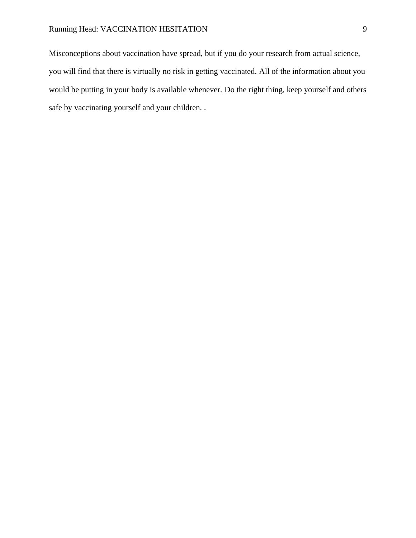Misconceptions about vaccination have spread, but if you do your research from actual science, you will find that there is virtually no risk in getting vaccinated. All of the information about you would be putting in your body is available whenever. Do the right thing, keep yourself and others safe by vaccinating yourself and your children. .